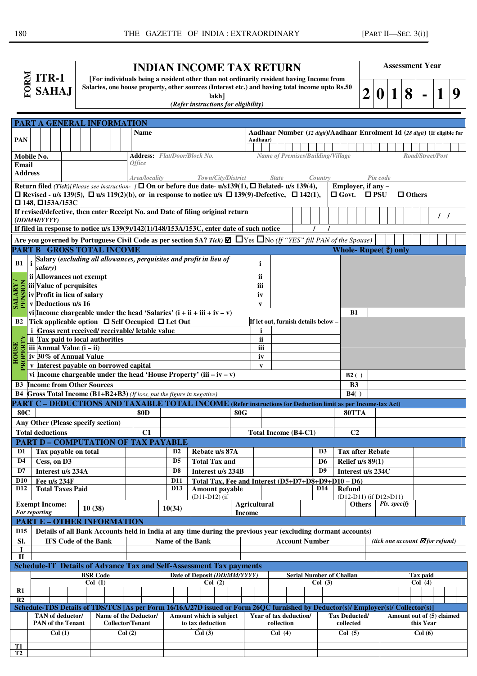| $ITR-1$      |
|--------------|
| <b>SAHAJ</b> |

## **INDIAN INCOME TAX RETURN**

**[For individuals being a resident other than not ordinarily resident having Income from Salaries, one house property, other sources (Interest etc.) and having total income upto Rs.50 lakh]** 

**Assessment Year**

|  |  |  |  | $2 0 1 8 $ - $ 1 9$ |  |  |
|--|--|--|--|---------------------|--|--|
|--|--|--|--|---------------------|--|--|

|  | (Refer instructions for eligibility) |  |  |  |  |  |  |  |  |
|--|--------------------------------------|--|--|--|--|--|--|--|--|

|                         | <b>PART A GENERAL INFORMATION</b>                                                                                                                                                                                                                   |                                                                                             |                            |                             |        |                  |                                                                            |                                 |                                                                            |                  |                                                       |                         |                                                                      |            |                                                                                                                                  |  |                                   |                    |         |                |                      |                    |  |                         |  |              |  |  |                                              |  |  |  |
|-------------------------|-----------------------------------------------------------------------------------------------------------------------------------------------------------------------------------------------------------------------------------------------------|---------------------------------------------------------------------------------------------|----------------------------|-----------------------------|--------|------------------|----------------------------------------------------------------------------|---------------------------------|----------------------------------------------------------------------------|------------------|-------------------------------------------------------|-------------------------|----------------------------------------------------------------------|------------|----------------------------------------------------------------------------------------------------------------------------------|--|-----------------------------------|--------------------|---------|----------------|----------------------|--------------------|--|-------------------------|--|--------------|--|--|----------------------------------------------|--|--|--|
|                         |                                                                                                                                                                                                                                                     | <b>Name</b>                                                                                 |                            |                             |        |                  | Aadhaar Number (12 digit)/Aadhaar Enrolment Id (28 digit) (If eligible for |                                 |                                                                            |                  |                                                       |                         |                                                                      |            |                                                                                                                                  |  |                                   |                    |         |                |                      |                    |  |                         |  |              |  |  |                                              |  |  |  |
| <b>PAN</b>              |                                                                                                                                                                                                                                                     |                                                                                             |                            |                             |        |                  | Aadhaar)                                                                   |                                 |                                                                            |                  |                                                       |                         |                                                                      |            |                                                                                                                                  |  |                                   |                    |         |                |                      |                    |  |                         |  |              |  |  |                                              |  |  |  |
|                         |                                                                                                                                                                                                                                                     |                                                                                             |                            |                             |        |                  |                                                                            |                                 |                                                                            |                  |                                                       |                         |                                                                      |            |                                                                                                                                  |  |                                   |                    |         |                |                      |                    |  |                         |  |              |  |  |                                              |  |  |  |
| <b>Email</b>            | <b>Address:</b> Flat/Door/Block No.<br>Mobile No.<br><i><b>Office</b></i>                                                                                                                                                                           |                                                                                             |                            |                             |        |                  |                                                                            |                                 |                                                                            |                  | Name of Premises/Building/Village<br>Road/Street/Post |                         |                                                                      |            |                                                                                                                                  |  |                                   |                    |         |                |                      |                    |  |                         |  |              |  |  |                                              |  |  |  |
| <b>Address</b>          |                                                                                                                                                                                                                                                     |                                                                                             |                            |                             |        |                  |                                                                            |                                 |                                                                            |                  |                                                       |                         |                                                                      |            |                                                                                                                                  |  |                                   |                    |         |                |                      |                    |  |                         |  |              |  |  |                                              |  |  |  |
|                         |                                                                                                                                                                                                                                                     |                                                                                             |                            |                             |        |                  |                                                                            |                                 | Area/locality                                                              |                  |                                                       | Town/City/District      |                                                                      |            |                                                                                                                                  |  | <b>State</b>                      |                    | Country |                |                      | Pin code           |  |                         |  |              |  |  |                                              |  |  |  |
|                         | Return filed (Tick)[Please see instruction- ] $\square$ On or before due date- u/s139(1), $\square$ Belated- u/s 139(4),<br>$\Box$ Revised - u/s 139(5), $\Box$ u/s 119(2)(b), or in response to notice u/s $\Box$ 139(9)-Defective, $\Box$ 142(1), |                                                                                             |                            |                             |        |                  |                                                                            |                                 |                                                                            |                  |                                                       |                         | Employer, if any -<br>$\Box$ Govt.<br>$\square$ PSU<br>$\Box$ Others |            |                                                                                                                                  |  |                                   |                    |         |                |                      |                    |  |                         |  |              |  |  |                                              |  |  |  |
|                         | $\Box$ 148, $\Box$ 153A/153C                                                                                                                                                                                                                        |                                                                                             |                            |                             |        |                  |                                                                            |                                 |                                                                            |                  |                                                       |                         |                                                                      |            |                                                                                                                                  |  |                                   |                    |         |                |                      |                    |  |                         |  |              |  |  |                                              |  |  |  |
|                         | If revised/defective, then enter Receipt No. and Date of filing original return                                                                                                                                                                     |                                                                                             |                            |                             |        |                  |                                                                            |                                 |                                                                            |                  |                                                       |                         |                                                                      |            |                                                                                                                                  |  |                                   |                    |         |                |                      |                    |  |                         |  |              |  |  |                                              |  |  |  |
|                         |                                                                                                                                                                                                                                                     | (DD/MM/YYYY)                                                                                |                            |                             |        |                  |                                                                            |                                 |                                                                            |                  |                                                       |                         |                                                                      |            |                                                                                                                                  |  |                                   |                    |         |                | $\prime$ $\prime$    |                    |  |                         |  |              |  |  |                                              |  |  |  |
|                         |                                                                                                                                                                                                                                                     | If filed in response to notice $u/s$ 139(9)/142(1)/148/153A/153C, enter date of such notice |                            |                             |        |                  |                                                                            |                                 |                                                                            |                  |                                                       |                         |                                                                      |            |                                                                                                                                  |  |                                   |                    |         |                |                      |                    |  |                         |  |              |  |  |                                              |  |  |  |
|                         | Are you governed by Portuguese Civil Code as per section 5A? Tick) $\Box$ TVes $\Box$ No (If "YES" fill PAN of the Spouse)                                                                                                                          |                                                                                             |                            |                             |        |                  |                                                                            |                                 |                                                                            |                  |                                                       |                         |                                                                      |            |                                                                                                                                  |  |                                   |                    |         |                |                      |                    |  |                         |  |              |  |  |                                              |  |  |  |
|                         | PART B GROSS TOTAL INCOME<br>Whole-Rupee $($ $\bar{\mathbf{\mathsf{c}}})$ only                                                                                                                                                                      |                                                                                             |                            |                             |        |                  |                                                                            |                                 |                                                                            |                  |                                                       |                         |                                                                      |            |                                                                                                                                  |  |                                   |                    |         |                |                      |                    |  |                         |  |              |  |  |                                              |  |  |  |
|                         |                                                                                                                                                                                                                                                     |                                                                                             |                            |                             |        |                  |                                                                            |                                 | Salary (excluding all allowances, perquisites and profit in lieu of        |                  |                                                       |                         |                                                                      |            |                                                                                                                                  |  |                                   |                    |         |                |                      |                    |  |                         |  |              |  |  |                                              |  |  |  |
| B1                      | salarv)                                                                                                                                                                                                                                             |                                                                                             |                            |                             |        |                  |                                                                            |                                 |                                                                            |                  |                                                       |                         |                                                                      |            | i.                                                                                                                               |  |                                   |                    |         |                |                      |                    |  |                         |  |              |  |  |                                              |  |  |  |
|                         | ii Allowances not exempt                                                                                                                                                                                                                            |                                                                                             |                            |                             |        |                  |                                                                            |                                 |                                                                            |                  |                                                       |                         |                                                                      |            | ii                                                                                                                               |  |                                   |                    |         |                |                      |                    |  |                         |  |              |  |  |                                              |  |  |  |
| έ                       | iii Value of perquisites                                                                                                                                                                                                                            |                                                                                             |                            |                             |        |                  |                                                                            |                                 |                                                                            |                  |                                                       |                         |                                                                      |            | iii                                                                                                                              |  |                                   |                    |         |                |                      |                    |  |                         |  |              |  |  |                                              |  |  |  |
| SALARY/<br><b>PENSI</b> | iv Profit in lieu of salary                                                                                                                                                                                                                         |                                                                                             |                            |                             |        |                  |                                                                            |                                 |                                                                            |                  |                                                       |                         |                                                                      |            | iv                                                                                                                               |  |                                   |                    |         |                |                      |                    |  |                         |  |              |  |  |                                              |  |  |  |
|                         | v Deductions u/s 16                                                                                                                                                                                                                                 |                                                                                             |                            |                             |        |                  |                                                                            |                                 |                                                                            |                  |                                                       |                         |                                                                      |            | V                                                                                                                                |  |                                   |                    |         |                |                      |                    |  |                         |  |              |  |  |                                              |  |  |  |
|                         |                                                                                                                                                                                                                                                     |                                                                                             |                            |                             |        |                  |                                                                            |                                 | vi Income chargeable under the head 'Salaries' $(i + ii + iii + iv - v)$   |                  |                                                       |                         |                                                                      |            |                                                                                                                                  |  |                                   |                    |         |                |                      | <b>B1</b>          |  |                         |  |              |  |  |                                              |  |  |  |
|                         |                                                                                                                                                                                                                                                     |                                                                                             |                            |                             |        |                  |                                                                            |                                 | B2 Tick applicable option □ Self Occupied □ Let Out                        |                  |                                                       |                         |                                                                      |            |                                                                                                                                  |  | If let out, furnish details below |                    |         |                |                      |                    |  |                         |  |              |  |  |                                              |  |  |  |
|                         | ii Tax paid to local authorities                                                                                                                                                                                                                    |                                                                                             |                            |                             |        |                  |                                                                            |                                 | <i>i</i> Gross rent received/receivable/letable value                      |                  |                                                       |                         |                                                                      |            | i<br><b>ii</b>                                                                                                                   |  |                                   |                    |         |                |                      |                    |  |                         |  |              |  |  |                                              |  |  |  |
|                         | iii Annual Value $(i - ii)$                                                                                                                                                                                                                         |                                                                                             |                            |                             |        |                  |                                                                            |                                 |                                                                            |                  |                                                       |                         |                                                                      |            | iii                                                                                                                              |  |                                   |                    |         |                |                      |                    |  |                         |  |              |  |  |                                              |  |  |  |
| <b>HOUSE</b>            | iv 30% of Annual Value                                                                                                                                                                                                                              |                                                                                             |                            |                             |        |                  |                                                                            |                                 |                                                                            |                  |                                                       |                         |                                                                      |            | iv                                                                                                                               |  |                                   |                    |         |                |                      |                    |  |                         |  |              |  |  |                                              |  |  |  |
| PROPERTY                | v Interest payable on borrowed capital                                                                                                                                                                                                              |                                                                                             |                            |                             |        |                  |                                                                            |                                 |                                                                            |                  |                                                       |                         |                                                                      |            | $\mathbf{v}$                                                                                                                     |  |                                   |                    |         |                |                      |                    |  |                         |  |              |  |  |                                              |  |  |  |
|                         |                                                                                                                                                                                                                                                     |                                                                                             |                            |                             |        |                  |                                                                            |                                 | vi Income chargeable under the head 'House Property' (iii $-iv - v$ )      |                  |                                                       |                         |                                                                      |            |                                                                                                                                  |  |                                   |                    |         |                |                      | B2()               |  |                         |  |              |  |  |                                              |  |  |  |
|                         | <b>B3</b> Income from Other Sources                                                                                                                                                                                                                 |                                                                                             |                            |                             |        |                  |                                                                            |                                 |                                                                            |                  |                                                       |                         |                                                                      |            |                                                                                                                                  |  |                                   |                    |         |                |                      | B <sub>3</sub>     |  |                         |  |              |  |  |                                              |  |  |  |
|                         |                                                                                                                                                                                                                                                     |                                                                                             |                            |                             |        |                  |                                                                            |                                 | B4 Gross Total Income (B1+B2+B3) (If loss, put the figure in negative)     |                  |                                                       |                         |                                                                      |            |                                                                                                                                  |  |                                   |                    |         |                |                      | B4()               |  |                         |  |              |  |  |                                              |  |  |  |
|                         |                                                                                                                                                                                                                                                     |                                                                                             |                            |                             |        |                  |                                                                            |                                 |                                                                            |                  |                                                       |                         |                                                                      |            | PART C – DEDUCTIONS AND TAXABLE TOTAL INCOME (Refer instructions for Deduction limit as per Income-tax Act)                      |  |                                   |                    |         |                |                      |                    |  |                         |  |              |  |  |                                              |  |  |  |
| <b>80C</b>              |                                                                                                                                                                                                                                                     |                                                                                             |                            |                             |        |                  |                                                                            |                                 | <b>80D</b>                                                                 |                  |                                                       |                         |                                                                      | <b>80G</b> |                                                                                                                                  |  |                                   |                    |         |                |                      | 80TTA              |  |                         |  |              |  |  |                                              |  |  |  |
|                         | Any Other (Please specify section)                                                                                                                                                                                                                  |                                                                                             |                            |                             |        |                  |                                                                            |                                 |                                                                            |                  |                                                       |                         |                                                                      |            |                                                                                                                                  |  |                                   |                    |         |                |                      |                    |  |                         |  |              |  |  |                                              |  |  |  |
|                         | <b>Total deductions</b>                                                                                                                                                                                                                             |                                                                                             |                            |                             |        |                  |                                                                            |                                 | C1                                                                         |                  |                                                       |                         |                                                                      |            | <b>Total Income (B4-C1)</b>                                                                                                      |  |                                   |                    |         |                |                      | C <sub>2</sub>     |  |                         |  |              |  |  |                                              |  |  |  |
|                         |                                                                                                                                                                                                                                                     |                                                                                             |                            |                             |        |                  |                                                                            |                                 | <b>PART D - COMPUTATION OF TAX PAYABLE</b>                                 |                  |                                                       |                         |                                                                      |            |                                                                                                                                  |  |                                   |                    |         |                |                      |                    |  |                         |  |              |  |  |                                              |  |  |  |
| D <sub>1</sub>          |                                                                                                                                                                                                                                                     |                                                                                             |                            | Tax payable on total        |        |                  |                                                                            |                                 |                                                                            | D <sub>2</sub>   |                                                       | Rebate u/s 87A          |                                                                      |            |                                                                                                                                  |  |                                   |                    |         | D <sub>3</sub> |                      |                    |  | <b>Tax after Rebate</b> |  |              |  |  |                                              |  |  |  |
| D <sub>4</sub>          | Cess, on D3                                                                                                                                                                                                                                         |                                                                                             |                            |                             |        |                  |                                                                            |                                 |                                                                            | D <sub>5</sub>   |                                                       | <b>Total Tax and</b>    |                                                                      |            | D <sub>6</sub>                                                                                                                   |  |                                   |                    |         |                |                      | Relief $u/s$ 89(1) |  |                         |  |              |  |  |                                              |  |  |  |
| D7                      |                                                                                                                                                                                                                                                     |                                                                                             |                            | Interest u/s 234A           |        |                  |                                                                            |                                 |                                                                            | D <sub>8</sub>   |                                                       | Interest u/s 234B       |                                                                      |            |                                                                                                                                  |  |                                   |                    |         | D <sub>9</sub> |                      |                    |  | Interest u/s 234C       |  |              |  |  |                                              |  |  |  |
| <b>D10</b>              | Fee u/s 234F                                                                                                                                                                                                                                        |                                                                                             |                            |                             |        |                  |                                                                            |                                 |                                                                            | <b>D11</b>       |                                                       |                         |                                                                      |            | Total Tax, Fee and Interest (D5+D7+D8+D9+D10 - D6)                                                                               |  |                                   |                    |         |                |                      |                    |  |                         |  |              |  |  |                                              |  |  |  |
| <b>D12</b>              |                                                                                                                                                                                                                                                     |                                                                                             |                            | <b>Total Taxes Paid</b>     |        |                  |                                                                            |                                 |                                                                            | D <sub>13</sub>  |                                                       | Amount payable          |                                                                      |            |                                                                                                                                  |  |                                   |                    |         | <b>D14</b>     |                      | Refund             |  |                         |  |              |  |  |                                              |  |  |  |
|                         | <b>Exempt Income:</b>                                                                                                                                                                                                                               |                                                                                             |                            |                             |        |                  |                                                                            |                                 |                                                                            |                  |                                                       | $(D11-D12)$ (if         |                                                                      |            | Agricultural                                                                                                                     |  |                                   |                    |         |                |                      | <b>Others</b>      |  | (D12-D11) (if D12>D11)  |  | Pls. specify |  |  |                                              |  |  |  |
|                         | For reporting                                                                                                                                                                                                                                       |                                                                                             |                            |                             | 10(38) |                  |                                                                            |                                 |                                                                            | 10(34)           |                                                       |                         |                                                                      |            | <b>Income</b>                                                                                                                    |  |                                   |                    |         |                |                      |                    |  |                         |  |              |  |  |                                              |  |  |  |
|                         | <b>PART E - OTHER INFORMATION</b>                                                                                                                                                                                                                   |                                                                                             |                            |                             |        |                  |                                                                            |                                 |                                                                            |                  |                                                       |                         |                                                                      |            |                                                                                                                                  |  |                                   |                    |         |                |                      |                    |  |                         |  |              |  |  |                                              |  |  |  |
| D <sub>15</sub>         |                                                                                                                                                                                                                                                     |                                                                                             |                            |                             |        |                  |                                                                            |                                 |                                                                            |                  |                                                       |                         |                                                                      |            | Details of all Bank Accounts held in India at any time during the previous year (excluding dormant accounts)                     |  |                                   |                    |         |                |                      |                    |  |                         |  |              |  |  |                                              |  |  |  |
| Sl.                     |                                                                                                                                                                                                                                                     |                                                                                             |                            | <b>IFS Code of the Bank</b> |        |                  |                                                                            |                                 |                                                                            | Name of the Bank |                                                       |                         |                                                                      |            |                                                                                                                                  |  | <b>Account Number</b>             |                    |         |                |                      |                    |  |                         |  |              |  |  | (tick one account $\blacksquare$ for refund) |  |  |  |
|                         |                                                                                                                                                                                                                                                     |                                                                                             |                            |                             |        |                  |                                                                            |                                 |                                                                            |                  |                                                       |                         |                                                                      |            |                                                                                                                                  |  |                                   |                    |         |                |                      |                    |  |                         |  |              |  |  |                                              |  |  |  |
| $\mathbf{H}$            |                                                                                                                                                                                                                                                     |                                                                                             |                            |                             |        |                  |                                                                            |                                 |                                                                            |                  |                                                       |                         |                                                                      |            |                                                                                                                                  |  |                                   |                    |         |                |                      |                    |  |                         |  |              |  |  |                                              |  |  |  |
|                         |                                                                                                                                                                                                                                                     |                                                                                             |                            |                             |        |                  |                                                                            |                                 | <b>Schedule-IT Details of Advance Tax and Self-Assessment Tax payments</b> |                  |                                                       |                         |                                                                      |            |                                                                                                                                  |  |                                   |                    |         |                |                      |                    |  |                         |  |              |  |  |                                              |  |  |  |
|                         | Date of Deposit (DD/MM/YYYY)<br><b>BSR Code</b>                                                                                                                                                                                                     |                                                                                             |                            |                             |        |                  |                                                                            | <b>Serial Number of Challan</b> |                                                                            |                  |                                                       |                         |                                                                      |            |                                                                                                                                  |  |                                   | Tax paid<br>Col(4) |         |                |                      |                    |  |                         |  |              |  |  |                                              |  |  |  |
| R1                      |                                                                                                                                                                                                                                                     |                                                                                             | Col(1)<br>Col(2)           |                             |        |                  |                                                                            |                                 |                                                                            |                  |                                                       | Col(3)                  |                                                                      |            |                                                                                                                                  |  |                                   |                    |         |                |                      |                    |  |                         |  |              |  |  |                                              |  |  |  |
| R2                      |                                                                                                                                                                                                                                                     |                                                                                             |                            |                             |        |                  |                                                                            |                                 |                                                                            |                  |                                                       |                         |                                                                      |            |                                                                                                                                  |  |                                   |                    |         |                |                      |                    |  |                         |  |              |  |  |                                              |  |  |  |
|                         |                                                                                                                                                                                                                                                     |                                                                                             |                            |                             |        |                  |                                                                            |                                 |                                                                            |                  |                                                       |                         |                                                                      |            | Schedule-TDS Details of TDS/TCS [As per Form 16/16A/27D issued or Form 26QC furnished by Deductor(s)/ Employer(s)/ Collector(s)] |  |                                   |                    |         |                |                      |                    |  |                         |  |              |  |  |                                              |  |  |  |
|                         | TAN of deductor/                                                                                                                                                                                                                                    |                                                                                             |                            |                             |        |                  |                                                                            |                                 | Name of the Deductor/                                                      |                  |                                                       | Amount which is subject |                                                                      |            |                                                                                                                                  |  | Year of tax deduction/            |                    |         |                | <b>Tax Deducted/</b> |                    |  |                         |  |              |  |  | Amount out of (5) claimed                    |  |  |  |
|                         | <b>Collector/Tenant</b><br><b>PAN</b> of the Tenant                                                                                                                                                                                                 |                                                                                             |                            |                             |        | to tax deduction |                                                                            |                                 |                                                                            |                  |                                                       |                         | collection                                                           |            |                                                                                                                                  |  |                                   | collected          |         |                |                      | this Year          |  |                         |  |              |  |  |                                              |  |  |  |
|                         |                                                                                                                                                                                                                                                     |                                                                                             | Col(1)<br>Col(2)<br>Col(3) |                             |        |                  | Col(4)                                                                     |                                 |                                                                            |                  |                                                       | Col(6)<br>Col(5)        |                                                                      |            |                                                                                                                                  |  |                                   |                    |         |                |                      |                    |  |                         |  |              |  |  |                                              |  |  |  |
| <b>T1</b>               |                                                                                                                                                                                                                                                     |                                                                                             |                            |                             |        |                  |                                                                            |                                 |                                                                            |                  |                                                       |                         |                                                                      |            |                                                                                                                                  |  |                                   |                    |         |                |                      |                    |  |                         |  |              |  |  |                                              |  |  |  |
| T <sub>2</sub>          |                                                                                                                                                                                                                                                     |                                                                                             |                            |                             |        |                  |                                                                            |                                 |                                                                            |                  |                                                       |                         |                                                                      |            |                                                                                                                                  |  |                                   |                    |         |                |                      |                    |  |                         |  |              |  |  |                                              |  |  |  |